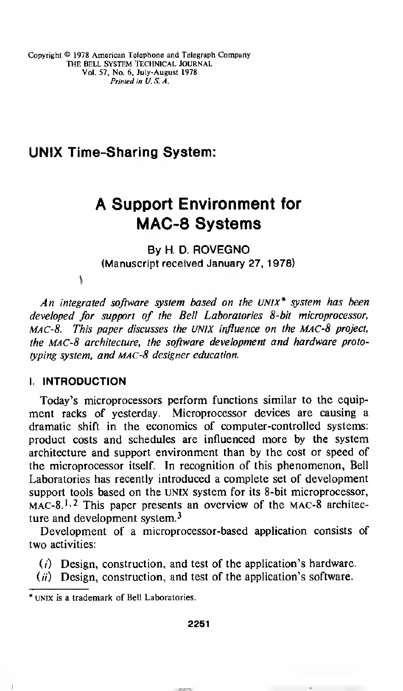Copyright © 1978 American Telephone and Telegraph Company The Bell system technical Journal Vol. 57, No. 6, July-August 1978 Printed in U.S.A.

## UNIX Time-Sharing System:

# A Support Environment for MAC-8 Systems

By H. D. ROVEGNO (Manuscript received January 27, 1978)

 $\mathbf{v}$ 

An integrated software system based on the UNIX\* system has been developed for support of the Bell Laboratories 8-bit microprocessor, MAC-8. This paper discusses the UNIX influence on the MAC-8 project, the MAC-8 architecture, the software development and hardware prototyping system, and MAC-8 designer education.

## I. INTRODUCTION

Today's microprocessors perform functions similar to the equipment racks of yesterday. Microprocessor devices are causing a dramatic shift in the economics of computer-controlled systems: product costs and schedules are influenced more by the system architecture and support environment than by the cost or speed of the microprocessor itself. In recognition of this phenomenon, Bell Laboratories has recently introduced a complete set of development support tools based on the UNIX system for its 8-bit microprocessor,  $MAC-8<sup>1,2</sup>$  This paper presents an overview of the MAC-8 architecture and development system.<sup>3</sup>

Development of a microprocessor-based application consists of two activities:

- (/) Design, construction, and test of the application's hardware.
- $(ii)$  Design, construction, and test of the application's software.

unix is a trademark of Bell Laboratories.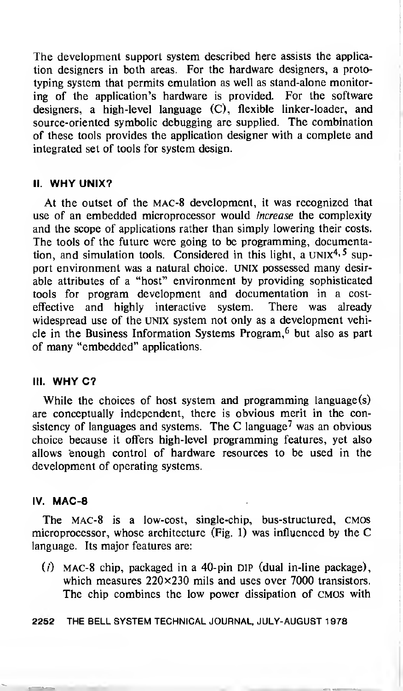The development support system described here assists the application designers in both areas. For the hardware designers, a prototyping system that permits emulation as well as stand-alone monitoring of the application's hardware is provided. For the software designers, a high-level language (C), flexible linker-loader, and source-oriented symbolic debugging are supplied. The combination of these tools provides the application designer with a complete and integrated set of tools for system design.

### II. WHY UNIX?

At the outset of the mac-8 development, it was recognized that use of an embedded microprocessor would *increase* the complexity and the scope of applications rather than simply lowering their costs. The tools of the future were going to be programming, documentation, and simulation tools. Considered in this light, a UNI $x^{4,5}$  support environment was a natural choice. UNIX possessed many desirable attributes of a "host" environment by providing sophisticated tools for program development and documentation in a costeffective and highly interactive system. There was already widespread use of the UNIX system not only as a development vehicle in the Business Information Systems Program,<sup>6</sup> but also as part of many "embedded" applications.

## III. WHY C?

While the choices of host system and programming language(s) are conceptually independent, there is obvious merit in the consistency of languages and systems. The C language<sup>7</sup> was an obvious choice because it offers high-level programming features, yet also allows enough control of hardware resources to be used in the development of operating systems.

#### IV. MAC-8

The MAC-8 is a low-cost, single-chip, bus-structured, CMOS microprocessor, whose architecture (Fig. 1) was influenced by the C language. Its major features are:

(/) MAC-8 chip, packaged in a 40-pin DIP (dual in-line package), which measures 220×230 mils and uses over 7000 transistors. The chip combines the low power dissipation of CMOS with

2252 THE BELL SYSTEM TECHNICAL JOURNAL, JULY-AUGUST 1978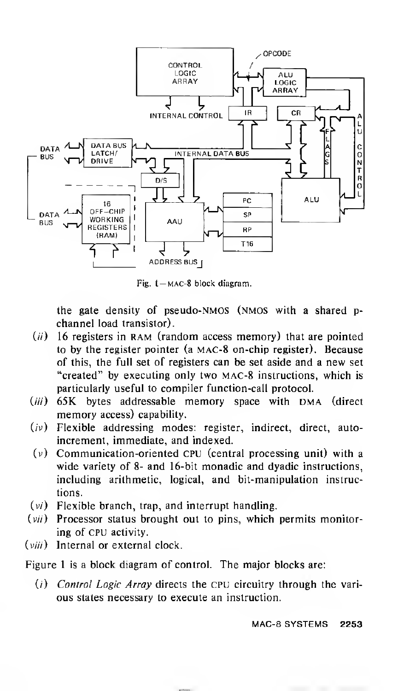

Fig. 1— mac-8 block diagram.

the gate density of pseudo-NMOS (nmos with a shared pchannel load transistor).

- $(ii)$  16 registers in RAM (random access memory) that are pointed to by the register pointer (a MAC-8 on-chip register). Because of this, the full set of registers can be set aside and <sup>a</sup> new set "created" by executing only two MAC-8 instructions, which is particularly useful to compiler function-call protocol.
- (iii) 65K bytes addressable memory space with DMA (direct memory access) capability.
- (*iv*) Flexible addressing modes: register, indirect, direct, autoincrement, immediate, and indexed.
- $(v)$ Communication-oriented CPU (central processing unit) with a wide variety of 8- and 16-bit monadic and dyadic instructions, including arithmetic, logical, and bit-manipulation instructions.
- $(v_i)$  Flexible branch, trap, and interrupt handling.
- $(vii)$  Processor status brought out to pins, which permits monitoring of CPU activity.
- (*viii*) Internal or external clock.

Figure <sup>1</sup> is a block diagram of control. The major blocks are:

(i) Control Logic Array directs the CPU circuitry through the various states necessary to execute an instruction.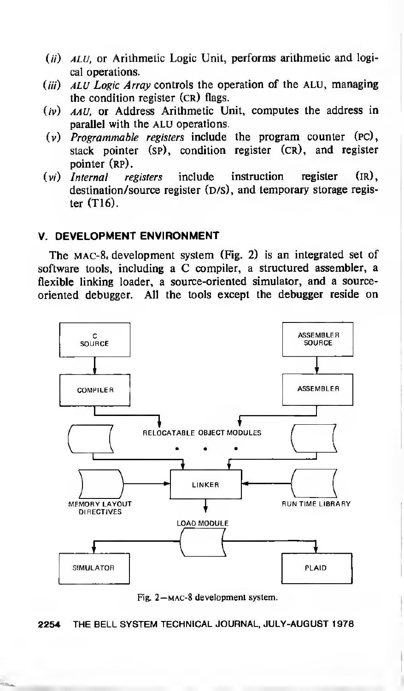- $(i)$  *ALU*, or Arithmetic Logic Unit, performs arithmetic and logical operations.
- (iii)  $ALU$  Logic Array controls the operation of the ALU, managing the condition register (cr) flags.
- (iv) aau, or Address Arithmetic Unit, computes the address in parallel with the ALU operations.
- $(v)$  Programmable registers include the program counter  $(PC)$ , stack pointer (sp), condition register (cr), and register pointer (RP).
- $(v_i)$  Internal registers include instruction register  $(\text{IR})$ , destination/source register  $(D/S)$ , and temporary storage register (T16).

## V. DEVELOPMENT ENVIRONMENT

The mac-8. development system (Fig. 2) is an integrated set of software tools, including <sup>a</sup> C compiler, <sup>a</sup> structured assembler, <sup>a</sup> flexible linking loader, a source-oriented simulator, and a sourceoriented debugger. All the tools except the debugger reside on



Fig. 2—mac-8 development system.

2254 THE BELL SYSTEM TECHNICAL JOURNAL, JULY-AUGUST <sup>1</sup> 978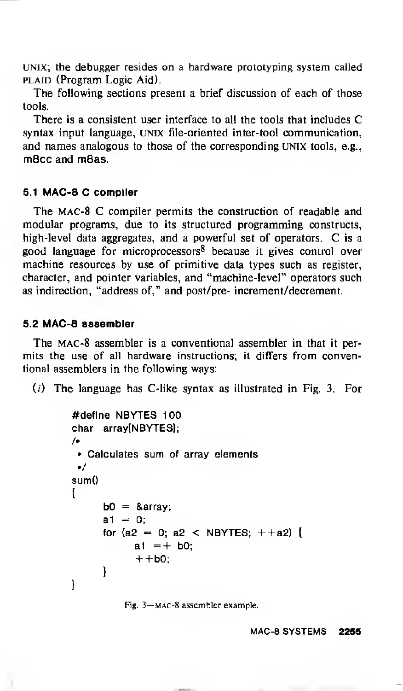UNIX; the debugger resides on a hardware prototyping system called PLAID (Program Logic Aid).

The following sections present a brief discussion of each of those tools.

There is <sup>a</sup> consistent user interface to all the tools that includes C syntax input language, UNIX file-oriented inter-tool communication, and names analogous to those of the corresponding UNIX tools, e.g., m8cc and m8as.

## 5.1 MAC-8 C compiler

The mac-8 C compiler permits the construction of readable and modular programs, due to its structured programming constructs, high-level data aggregates, and <sup>a</sup> powerful set of operators. C is a good language for microprocessors<sup>8</sup> because it gives control over machine resources by use of primitive data types such as register, character, and pointer variables, and "machine-level" operators such as indirection, "address of," and post/pre- increment/decrement.

## 5.2 MAC-8 assembler

The mac-8 assembler is a conventional assembler in that it permits the use of all hardware instructions; it differs from conventional assemblers in the following ways:

 $(i)$  The language has C-like syntax as illustrated in Fig. 3. For

```
#define NBYTES 100
char array[NBYTES];
/*
 * Calculates sum of array elements
 */
sumO
{ b0 = 8array;
     a1 = 0:
     for (a2 = 0; a2 < NBYTES; ++a2) {
           a1 = + b0;
           + + b0;
     }
ł
```

```
Fig. 3—mac-8 assembler example.
```
MAC-8 SYSTEMS 2255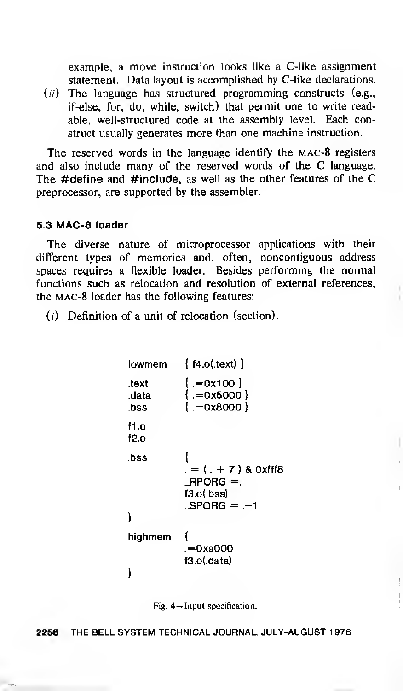example, a move instruction looks like a C-like assignment statement. Data layout is accomplished by C-like declarations.

 $(i)$  The language has structured programming constructs (e.g., if-else, for, do, while, switch) that permit one to write readable, well-structured code at the assembly level. Each construct usually generates more than one machine instruction.

The reserved words in the language identify the mac-<sup>8</sup> registers and also include many of the reserved words of the C language. The #define and #include, as well as the other features of the C preprocessor, are supported by the assembler.

#### 5.3 MAC-8 loader

The diverse nature of microprocessor applications with their different types of memories and, often, noncontiguous address spaces requires a flexible loader. Besides performing the normal functions such as relocation and resolution of external references, the mac-8 loader has the following features:

 $(i)$  Definition of a unit of relocation (section).

| lowmem                 | $\{$ f4.o(.text) $\}$                                                        |
|------------------------|------------------------------------------------------------------------------|
| .text<br>.data<br>.bss | { 0x100 −. }<br>$[-0x5000]$<br>$[-0x8000]$                                   |
| f1.o<br>f2.o           |                                                                              |
| .bss                   | . = ( . + 7 ) & 0xfff8<br>$\_$ RPORG $=$ .<br>$f3.o($ bss)<br>$\_SPORG = -1$ |
| highmem                | .=0xa000<br>f3.o(data)                                                       |
|                        |                                                                              |

Fig. 4—Input specification.

2256 THE BELL SYSTEM TECHNICAL JOURNAL, JULY-AUGUST <sup>1</sup>978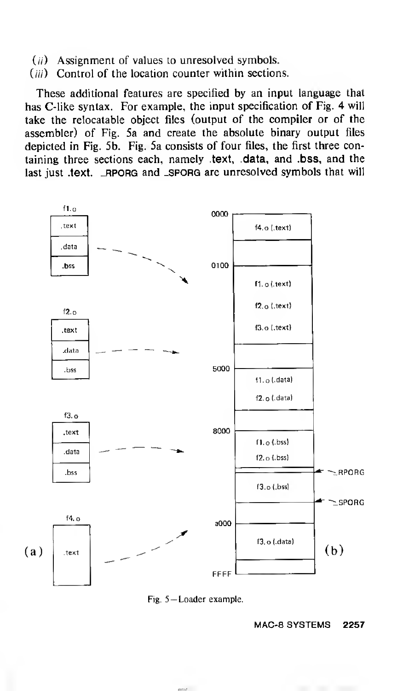- $(ii)$  Assignment of values to unresolved symbols.
- $(iii)$  Control of the location counter within sections.

These additional features are specified by an input language that has C-like syntax. For example, the input specification of Fig. 4 will take the relocatable object files (output of the compiler or of the assembler) of Fig. 5a and create the absolute binary output files depicted in Fig. 5b. Fig. 5a consists of four files, the first three containing three sections each, namely .text, .data, and .bss, and the last just .text. \_RPORG and \_SPORG are unresolved symbols that will



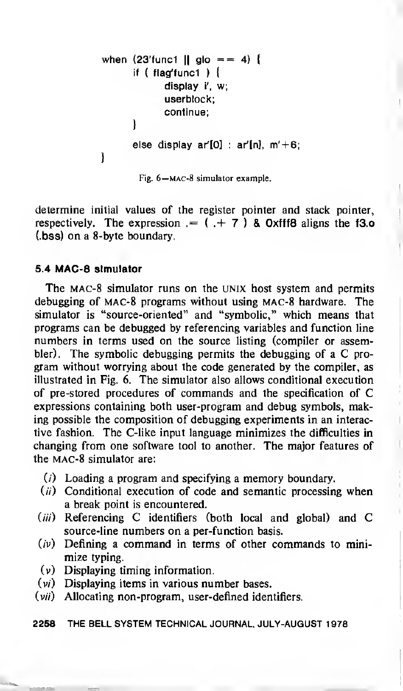```
when (23'func1 || glo == 4) {
      if ( flag'func1 ) \{display i', w;
            userblock;
            continue;
      )
)
      else display ar[0] : ar'[n], m'+6;
```
Fig. 6—mac-8 simulator example.

determine initial values of the register pointer and stack pointer, respectively. The expression  $=$   $($   $+$  7  $)$  & 0xfff8 aligns the f3.o (.bss) on a 8-byte boundary.

## 5.4 MAC-8 simulator

The mac-8 simulator runs on the UNIX host system and permits debugging of MAC-8 programs without using mac-8 hardware. The simulator is "source-oriented" and "symbolic," which means that programs can be debugged by referencing variables and function line numbers in terms used on the source listing (compiler or assembler). The symbolic debugging permits the debugging of <sup>a</sup> C program without worrying about the code generated by the compiler, as illustrated in Fig. 6. The simulator also allows conditional execution of pre-stored procedures of commands and the specification of C expressions containing both user-program and debug symbols, making possible the composition of debugging experiments in an interactive fashion. The C-like input language minimizes the difficulties in changing from one software tool to another. The major features of the mac-8 simulator are:

- $(i)$  Loading a program and specifying a memory boundary.
- $(i)$  Conditional execution of code and semantic processing when a break point is encountered.
- $(iii)$  Referencing C identifiers (both local and global) and C source-line numbers on a per-function basis.
- $(v)$  Defining a command in terms of other commands to minimize typing.
- (v) Displaying timing information.
- $(v_i)$  Displaying items in various number bases.
- $(vii)$  Allocating non-program, user-defined identifiers.

2258 THE BELL SYSTEM TECHNICAL JOURNAL, JULY-AUGUST <sup>1</sup> 978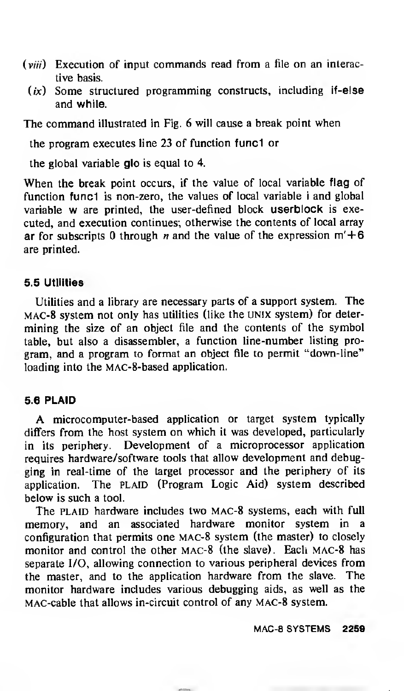- $(viii)$  Execution of input commands read from a file on an interactive basis.
	- $(ix)$  Some structured programming constructs, including if-else and while.

The command illustrated in Fig. 6 will cause <sup>a</sup> break point when

the program executes line 23 of function func1 or

the global variable glo is equal to 4.

When the break point occurs, if the value of local variable flag of function func1 is non-zero, the values of local variable i and global variable w are printed, the user-defined block userblock is executed, and execution continues; otherwise the contents of local array ar for subscripts 0 through *n* and the value of the expression  $m'+6$ are printed.

#### 5.5 Utilities

Utilities and a library are necessary parts of a support system. The MAC-<sup>8</sup> system not only has utilities (like the UNIX system) for determining the size of an object file and the contents of the symbol table, but also a disassembler, a function line-number listing program, and a program to format an object file to permit "down-line" loading into the MAC-8-based application.

#### 5.6 PLAID

A microcomputer-based application or target system typically differs from the host system on which it was developed, particularly in its periphery. Development of a microprocessor application requires hardware/software tools that allow development and debugging in real-time of the target processor and the periphery of its application. The PLAID (Program Logic Aid) system described below is such a tool.

The PLAID hardware includes two MAC-8 systems, each with full memory, and an associated hardware monitor system in a configuration that permits one mac-8 system (the master) to closely monitor and control the other mac-8 (the slave). Each mac-8 has separate I/O, allowing connection to various peripheral devices from the master, and to the application hardware from the slave. The monitor hardware includes various debugging aids, as well as the MAC-cable that allows in-circuit control of any mac-8 system.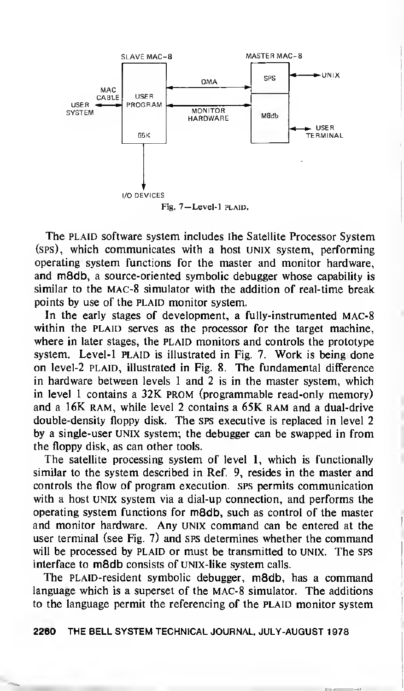

The PLAID software system includes the Satellite Processor System (sps), which communicates with a host UNIX system, performing operating system functions for the master and monitor hardware, and m8db, a source-oriented symbolic debugger whose capability is similar to the mac-8 simulator with the addition of real-time break points by use of the PLAID monitor system.

In the early stages of development, a fully-instrumented mac-8 within the PLAID serves as the processor for the target machine, where in later stages, the PLAID monitors and controls the prototype system. Level-1 PLAID is illustrated in Fig. 7. Work is being done on level-2 PLAID, illustrated in Fig. 8. The fundamental difference in hardware between levels <sup>1</sup> and 2 is in the master system, which in level <sup>1</sup> contains a 32K prom (programmable read-only memory) and <sup>a</sup> 16K ram, while level <sup>2</sup> contains <sup>a</sup> 65K ram and <sup>a</sup> dual-drive double-density floppy disk. The sps executive is replaced in level 2 by a single-user UNIX system; the debugger can be swapped in from the floppy disk, as can other tools.

The satellite processing system of level 1, which is functionally similar to the system described in Ref. 9, resides in the master and controls the flow of program execution, sps permits communication with a host unix system via a dial-up connection, and performs the operating system functions for m8db, such as control of the master and monitor hardware. Any UNIX command can be entered at the user terminal (see Fig. 7) and sps determines whether the command will be processed by PLAID or must be transmitted to UNIX. The SPS interface to m8db consists of UNIX-like system calls.

The PLAlD-resident symbolic debugger, m8db. has a command language which is a superset of the MAC-8 simulator. The additions to the language permit the referencing of the PLAID monitor system

2260 THE BELL SYSTEM TECHNICAL JOURNAL, JULY-AUGUST <sup>1</sup>978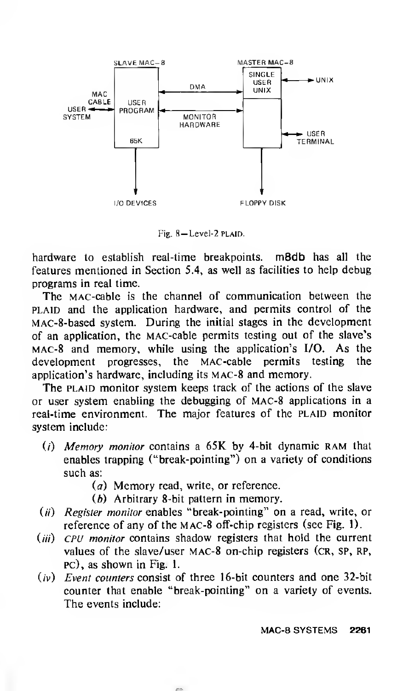

Fig. 8-Level-2 PLAID.

hardware to establish real-time breakpoints. m8db has all the features mentioned in Section 5.4, as well as facilities to help debug programs in real time.

The MAC-cable is the channel of communication between the PLAID and the application hardware, and permits control of the MAC-8-based system. During the initial stages in the development of an application, the MAC-cable permits testing out of the slave's MAC-8 and memory, while using the application's I/O. As the development progresses, the MAC-cable permits testing the application's hardware, including its mac-8 and memory.

The PLAID monitor system keeps track of the actions of the slave or user system enabling the debugging of mac-8 applications in a real-time environment. The major features of the PLAID monitor system include:

- (i) Memory monitor contains a  $65K$  by 4-bit dynamic RAM that enables trapping ("break-pointing") on a variety of conditions such as:
	- (a) Memory read, write, or reference.
	- (b) Arbitrary 8-bit pattern in memory.
- $(ii)$  Register monitor enables "break-pointing" on a read, write, or reference of any of the mac-8 off-chip registers (see Fig. 1).
- $(iii)$  CPU monitor contains shadow registers that hold the current values of the slave/user mac-8 on-chip registers (cr, SP, RP, pc), as shown in Fig. 1.
- $(iv)$  Event counters consist of three 16-bit counters and one 32-bit counter that enable "break-pointing" on a variety of events. The events include: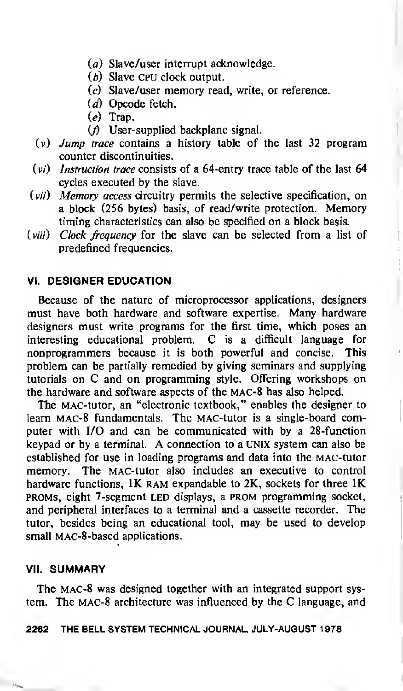- (a) Slave/user interrupt acknowledge.
- (b) Slave CPU clock output.
- (c) Slave/user memory read, write, or reference.
- (d) Opcode fetch.
- (e) Trap.
- $($ *f*) User-supplied backplane signal.
- $(v)$  Jump trace contains a history table of the last 32 program counter discontinuities,
- $(v_i)$  Instruction trace consists of a 64-entry trace table of the last 64 cycles executed by the slave.
- $(vii)$  Memory access circuitry permits the selective specification, on a block (256 bytes) basis, of read/write protection. Memory timing characteristics can also be specified on a block basis.
- (viii) Clock frequency for the slave can be selected from a list of predefined frequencies.

## VI. DESIGNER EDUCATION

Because of the nature of microprocessor applications, designers must have both hardware and software expertise. Many hardware designers must write programs for the first time, which poses an interesting educational problem. C is <sup>a</sup> difficult language for nonprogrammers because it is both powerful and concise. This problem can be partially remedied by giving seminars and supplying tutorials on C and on programming style. Offering workshops on the hardware and software aspects of the mac-8 has also helped.

The MAC-tutor, an "electronic textbook," enables the designer to learn mac-8 fundamentals. The MAC-tutor is a single-board computer with I/O and can be communicated with by a 28-function keypad or by <sup>a</sup> terminal. A connection to <sup>a</sup> UNIX system can also be established for use in loading programs and data into the MAC-tutor memory. The MAC-tutor also includes an executive to control hardware functions, 1K RAM expandable to 2K, sockets for three 1K proms, eight 7-segment led displays, a prom programming socket, and peripheral interfaces to a terminal and a cassette recorder. The tutor, besides being an educational tool, may be used to develop small MAC-8-based applications.

#### VII. SUMMARY

The MAC-8 was designed together with an integrated support system. The mac-8 architecture was influenced by the C language, and

#### 2262 THE BELL SYSTEM TECHNICAL JOURNAL, JULY-AUGUST <sup>1</sup> 978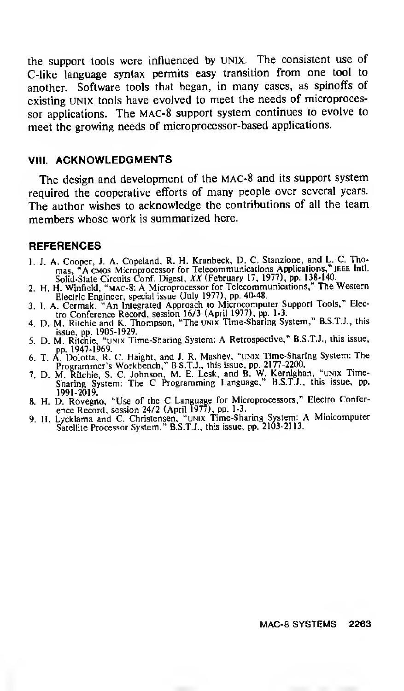the support tools were influenced by UNIX. The consistent use of C-like language syntax permits easy transition from one tool to another. Software tools that began, in many cases, as spinoffs of existing UNIX tools have evolved to meet the needs of microprocessor applications. The mac-8 support system continues to evolve to meet the growing needs of microprocessor-based applications.

#### VIII. ACKNOWLEDGMENTS

The design and development of the mac-8 and its support system required the cooperative efforts of many people over several years. The author wishes to acknowledge the contributions of all the team members whose work is summarized here.

#### **REFERENCES**

- 1. J. A. Cooper, J. A. Copeland, R. H. Kranbeck, D. C. Stanzione, and L. C. Tho-<br>mas "A cMos Microprocessor for Telecommunications Applications." IEEE Intl. mas, "A CMOS Microprocessor for Telecommunications Applications," IEEE Intl.<br>Solid-State Circuits Conf. Digest, XX (February 17, 1977), pp. 138-140...
- 2. H. H. Winfield, "mac-8: A Microprocessor for Telecommunications," The Western
- Electric Engineer, special issue (July 1977), pp. 40-48.<br>3. I. A. Cermak, "An Iniegrated Approach to Microcomputer Support Tools," Electro Conference Record, session 16/3 (April 1977), pp. 1-3.<br>4. D. M. Ritchie and K. Thom
- 
- 
- pp. 1947-1969.<br>6. T. A. Dolotta, R. C. Haight, and J. R. Mashey, "UNIX Time-Sharing System: The<br>Programmer's Workbench," B.S.T.J., this issue, pp. 2177-2200.<br>7. D. M. Ritchie, S. C. Johnson, M. E. Lesk, and B. W. Kernighan
- 1991-2019. " \_
- 
- 8. H. D. Rovegno, "Use of the C Language for Microprocessors," Electro Conference Record, session 24/2 (April 1977), pp. 1-3.<br>9. H. Lycklama and C. Christensen, "UNIX Time-Sharing System: A Minicomputer Satellite Processor